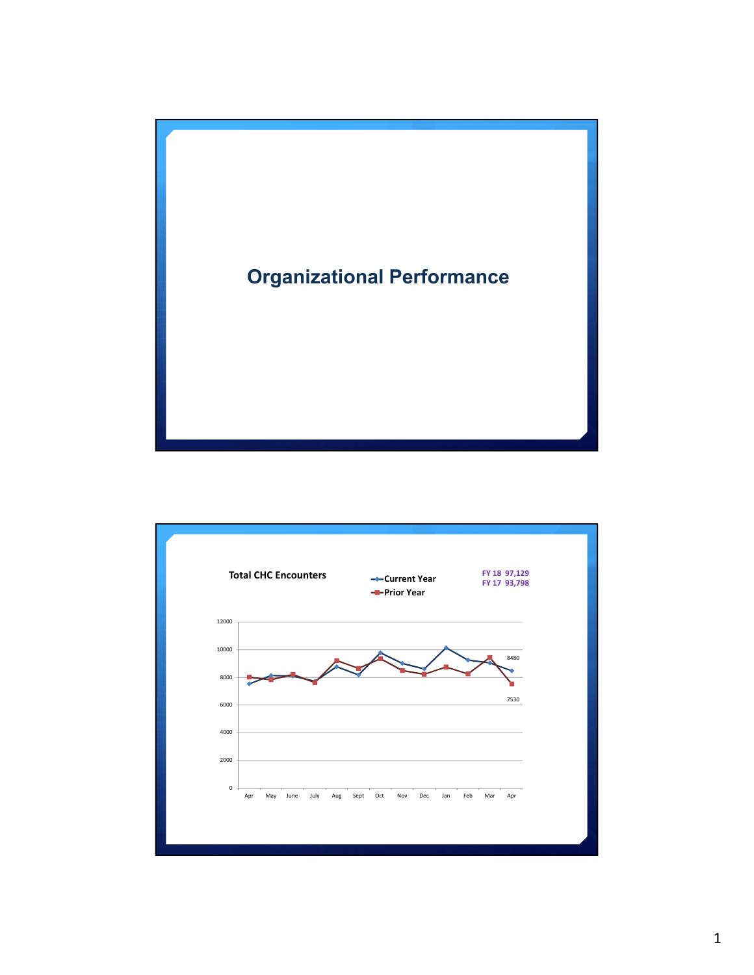

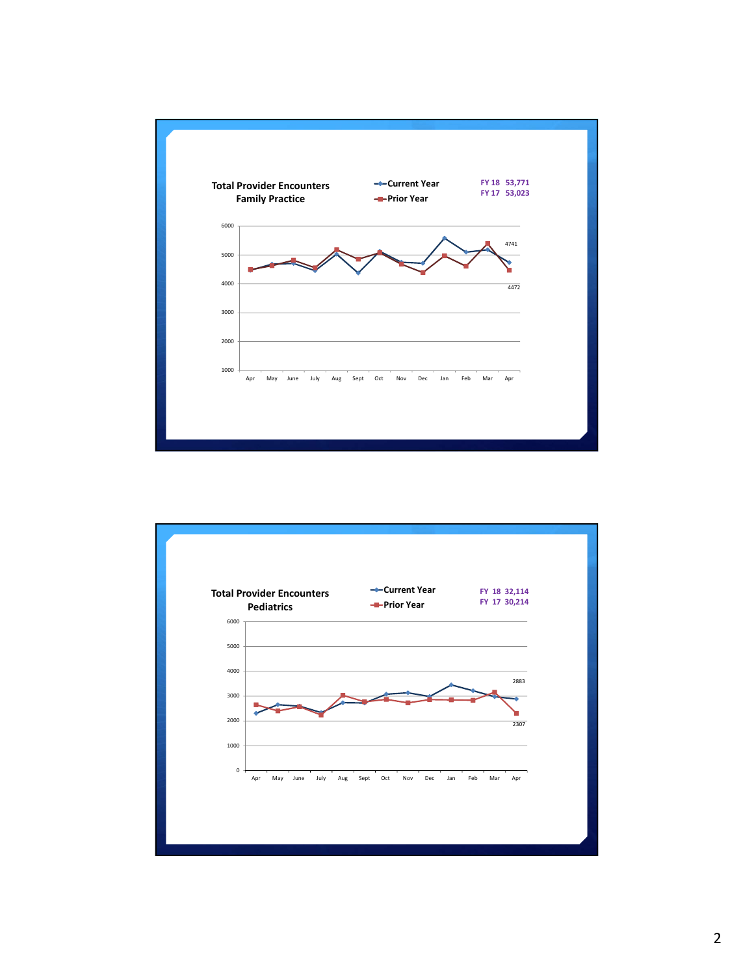

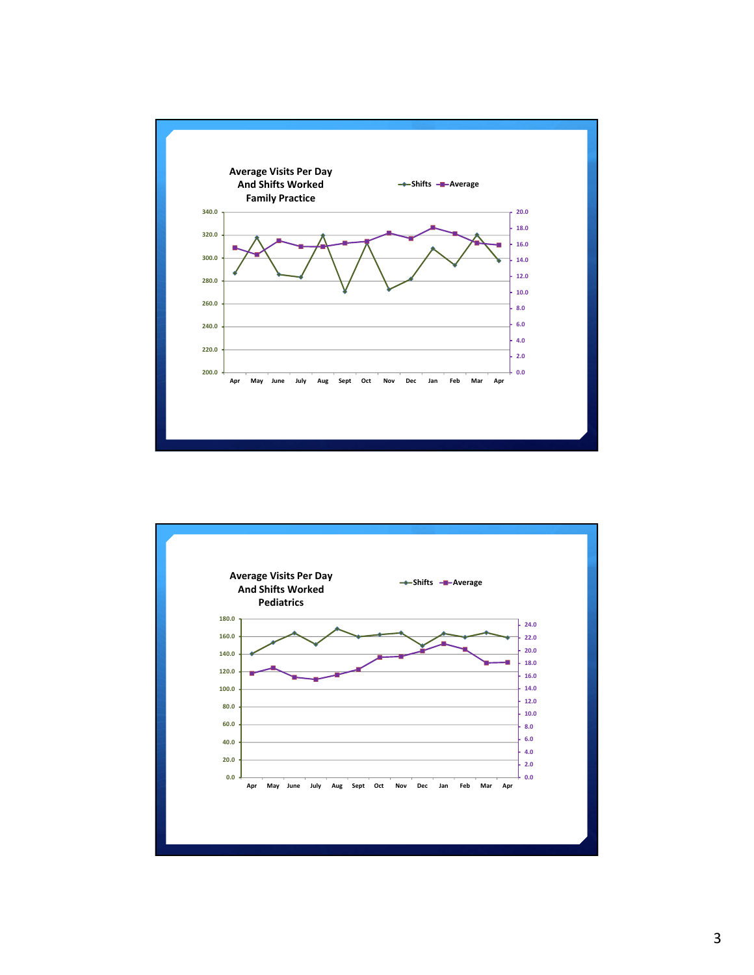

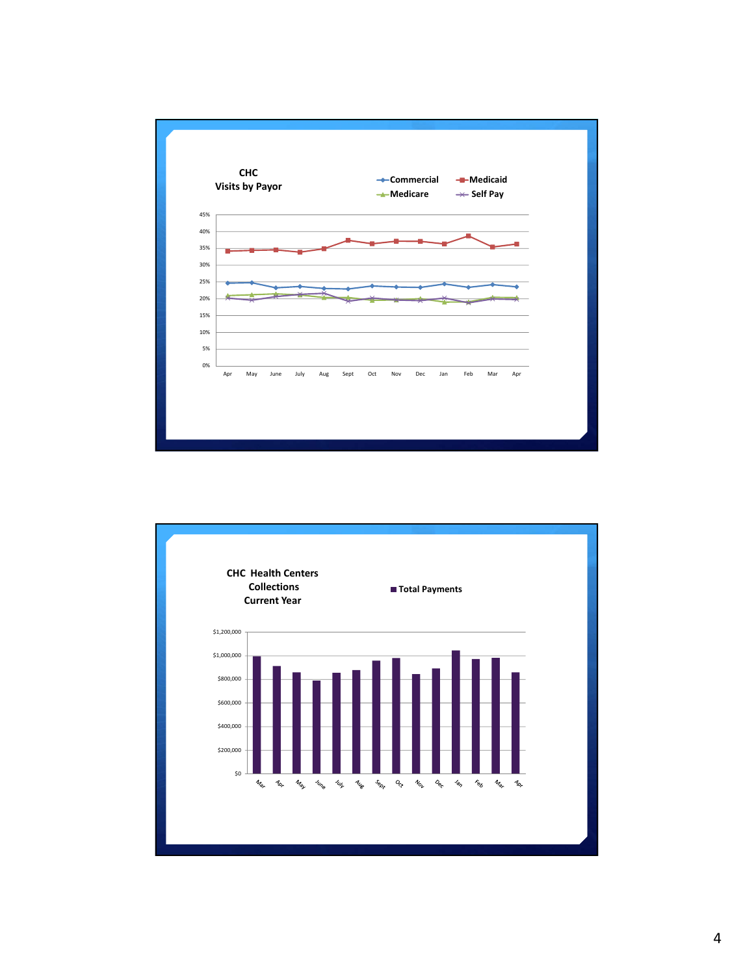

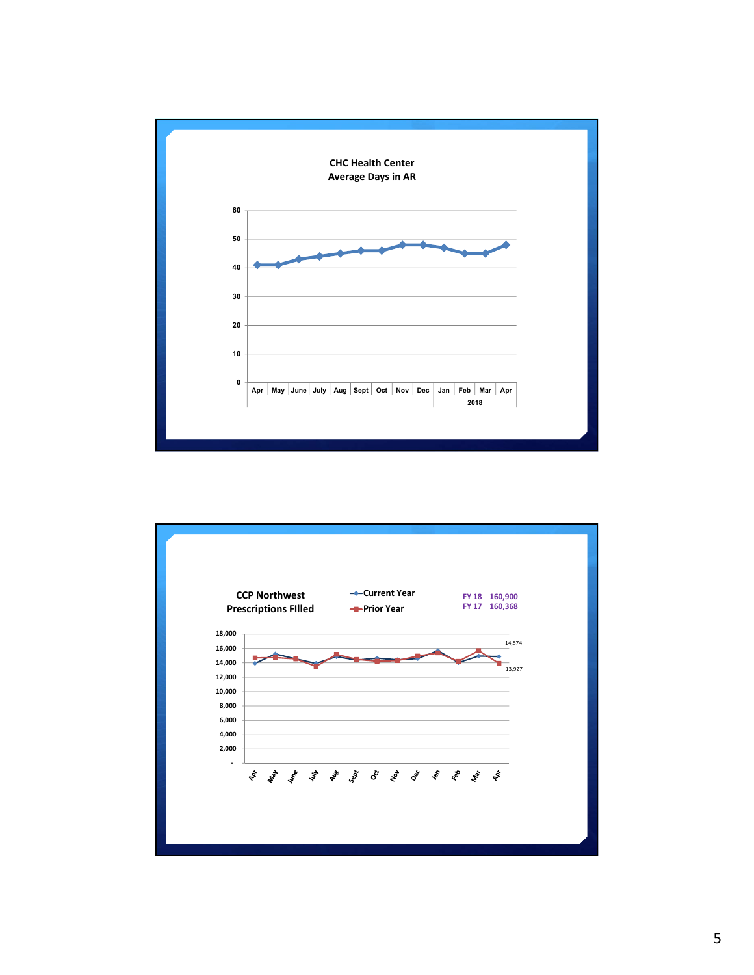

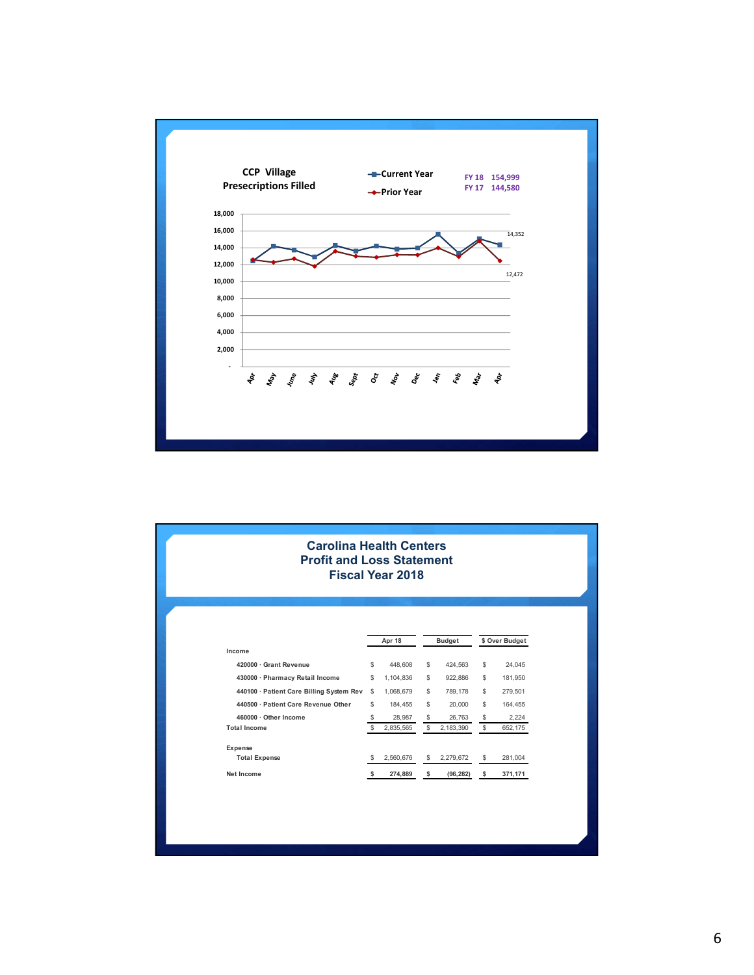

| <b>Carolina Health Centers</b><br><b>Profit and Loss Statement</b> |    | <b>Fiscal Year 2018</b> |    |               |                |
|--------------------------------------------------------------------|----|-------------------------|----|---------------|----------------|
|                                                                    |    | Apr 18                  |    | <b>Budget</b> | \$ Over Budget |
| Income                                                             |    |                         |    |               |                |
| 420000 · Grant Revenue                                             | \$ | 448,608                 | \$ | 424,563       | \$<br>24,045   |
| 430000 Pharmacy Retail Income                                      | \$ | 1,104,836               | \$ | 922,886       | \$<br>181,950  |
| 440100 Patient Care Billing System Rev                             | \$ | 1,068,679               | \$ | 789,178       | \$<br>279,501  |
| 440500 · Patient Care Revenue Other                                | \$ | 184,455                 | \$ | 20,000        | \$<br>164,455  |
| 460000 Other Income                                                | \$ | 28,987                  | \$ | 26,763        | \$<br>2,224    |
| <b>Total Income</b>                                                | \$ | 2,835,565               | \$ | 2,183,390     | \$<br>652,175  |
| Expense                                                            |    |                         |    |               |                |
| <b>Total Expense</b>                                               | S  | 2,560,676               | S  | 2,279,672     | \$<br>281,004  |
|                                                                    |    | 274,889                 | s  | (96, 282)     | \$<br>371,171  |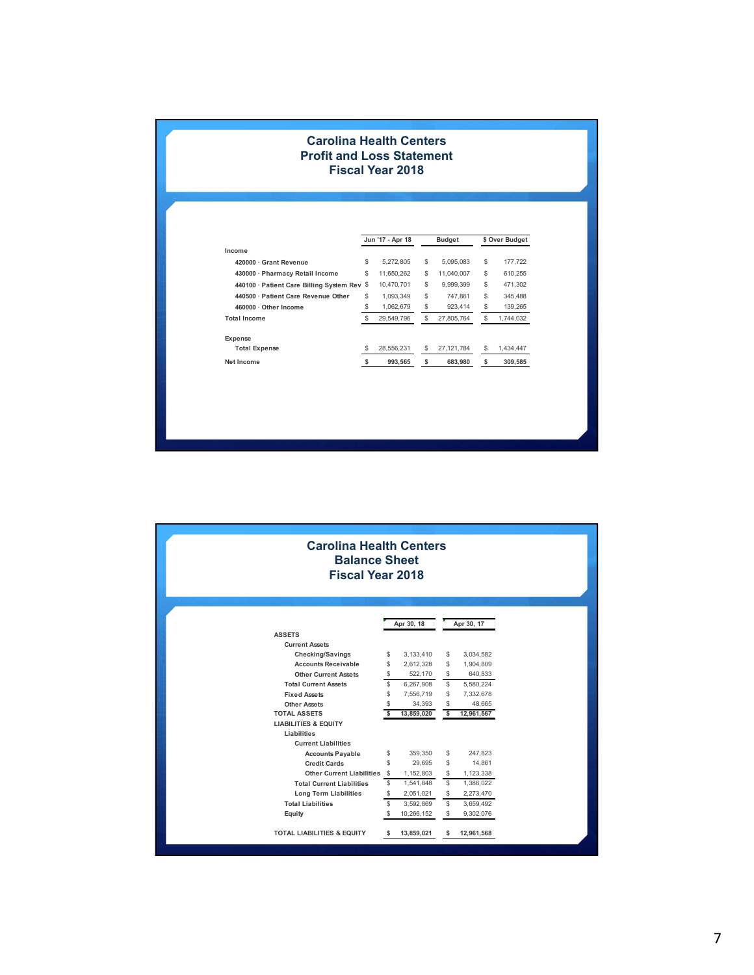## **Carolina Health Centers Profit and Loss Statement Fiscal Year 2018**

|                                             |    | Jun '17 - Apr 18 |    | <b>Budget</b> |    | \$ Over Budget |  |  |
|---------------------------------------------|----|------------------|----|---------------|----|----------------|--|--|
| Income                                      |    |                  |    |               |    |                |  |  |
| 420000 Grant Revenue                        | \$ | 5.272.805        | \$ | 5.095.083     | \$ | 177.722        |  |  |
| 430000 · Pharmacy Retail Income             | \$ | 11,650,262       | \$ | 11.040.007    | \$ | 610.255        |  |  |
| 440100 · Patient Care Billing System Rev \$ |    | 10.470.701       | \$ | 9.999.399     | \$ | 471.302        |  |  |
| 440500 · Patient Care Revenue Other         | \$ | 1.093.349        | \$ | 747.861       | \$ | 345.488        |  |  |
| 460000 · Other Income                       | \$ | 1,062,679        | \$ | 923,414       | \$ | 139,265        |  |  |
| <b>Total Income</b>                         | \$ | 29,549,796       | \$ | 27.805.764    | \$ | 1,744,032      |  |  |
| Expense                                     |    |                  |    |               |    |                |  |  |
| <b>Total Expense</b>                        | \$ | 28,556,231       | \$ | 27, 121, 784  | \$ | 1,434,447      |  |  |
| Net Income                                  |    | 993,565          | \$ | 683,980       | s  | 309,585        |  |  |

| <b>Carolina Health Centers</b><br><b>Balance Sheet</b><br><b>Fiscal Year 2018</b> |            |            |            |            |  |
|-----------------------------------------------------------------------------------|------------|------------|------------|------------|--|
|                                                                                   | Apr 30, 18 |            | Apr 30, 17 |            |  |
| <b>ASSETS</b>                                                                     |            |            |            |            |  |
| <b>Current Assets</b>                                                             |            |            |            |            |  |
| <b>Checking/Savings</b>                                                           | \$         | 3,133,410  | \$         | 3,034,582  |  |
| <b>Accounts Receivable</b>                                                        | \$         | 2,612,328  | \$         | 1,904,809  |  |
| <b>Other Current Assets</b>                                                       | \$         | 522,170    | \$         | 640,833    |  |
| <b>Total Current Assets</b>                                                       | \$         | 6,267,908  | \$         | 5,580,224  |  |
| <b>Fixed Assets</b>                                                               | \$         | 7,556,719  | \$         | 7,332,678  |  |
| <b>Other Assets</b>                                                               | \$         | 34,393     | \$         | 48,665     |  |
| <b>TOTAL ASSETS</b>                                                               | \$         | 13,859,020 | \$         | 12,961,567 |  |
| <b>LIABILITIES &amp; EQUITY</b>                                                   |            |            |            |            |  |
| Liabilities                                                                       |            |            |            |            |  |
| <b>Current Liabilities</b>                                                        |            |            |            |            |  |
| <b>Accounts Payable</b>                                                           | \$         | 359,350    | \$         | 247,823    |  |
| <b>Credit Cards</b>                                                               | \$         | 29,695     | \$         | 14,861     |  |
| Other Current Liabilities \$                                                      |            | 1,152,803  | \$         | 1,123,338  |  |
| <b>Total Current Liabilities</b>                                                  | \$         | 1,541,848  | \$         | 1,386,022  |  |
| <b>Long Term Liabilities</b>                                                      | \$         | 2,051,021  | \$         | 2,273,470  |  |
| <b>Total Liabilities</b>                                                          | \$         | 3,592,869  | \$         | 3,659,492  |  |
| Equity                                                                            | \$         | 10,266,152 | \$         | 9,302,076  |  |
| <b>TOTAL LIABILITIES &amp; EQUITY</b>                                             | -S         | 13,859,021 | s          | 12,961,568 |  |